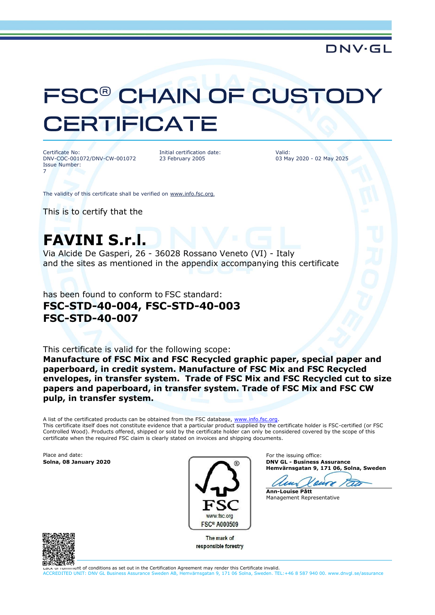### **DNV·GL**

# **FSC<sup>®</sup> CHAIN OF CUSTOL CERTIFICATE**

Certificate No: DNV-COC-001072/DNV-CW-001072 Issue Number: 7

Initial certification date: 23 February 2005

Valid: 03 May 2020 - 02 May 2025

The validity of this certificate shall be verified on [www.info.fsc.org](http://www.info.fsc.org/).

This is to certify that the

# **FAVINI S.r.l.**

Via Alcide De Gasperi, 26 - 36028 Rossano Veneto (VI) - Italy and the sites as mentioned in the appendix accompanying this certificate

has been found to conform to FSC standard: **FSC-STD-40-004, FSC-STD-40-003 FSC-STD-40-007**

This certificate is valid for the following scope:

**Manufacture of FSC Mix and FSC Recycled graphic paper, special paper and paperboard, in credit system. Manufacture of FSC Mix and FSC Recycled envelopes, in transfer system. Trade of FSC Mix and FSC Recycled cut to size papers and paperboard, in transfer system. Trade of FSC Mix and FSC CW pulp, in transfer system.**

A list of the certificated products can be obtained from the FSC database, [www.info.fsc.org.](file:///D:/Oracle/Middleware/user_projects/domains/bifoundation_domain/www.info.fsc.org) This certificate itself does not constitute evidence that a particular product supplied by the certificate holder is FSC-certified (or FSC Controlled Wood). Products offered, shipped or sold by the certificate holder can only be considered covered by the scope of this certificate when the required FSC claim is clearly stated on invoices and shipping documents.

Place and date:<br>Solna, 08 January 2020



The mark of responsible forestry

For the issuing office: **Solna, 08 January 2020 DNV GL - Business Assurance Hemvärnsgatan 9, 171 06, Solna, Sweden**

**Ann-Louise Pått**

Management Representative



...  $\frac{1}{100}$  fulfilment of conditions as set out in the Certification Agreement may render this Certificate invalid.

ACCREDITED UNIT: DNV GL Business Assurance Sweden AB, Hemvärnsgatan 9, 171 06 Solna, Sweden. TEL:+46 8 587 940 00. www.dnvgl.se/assurance